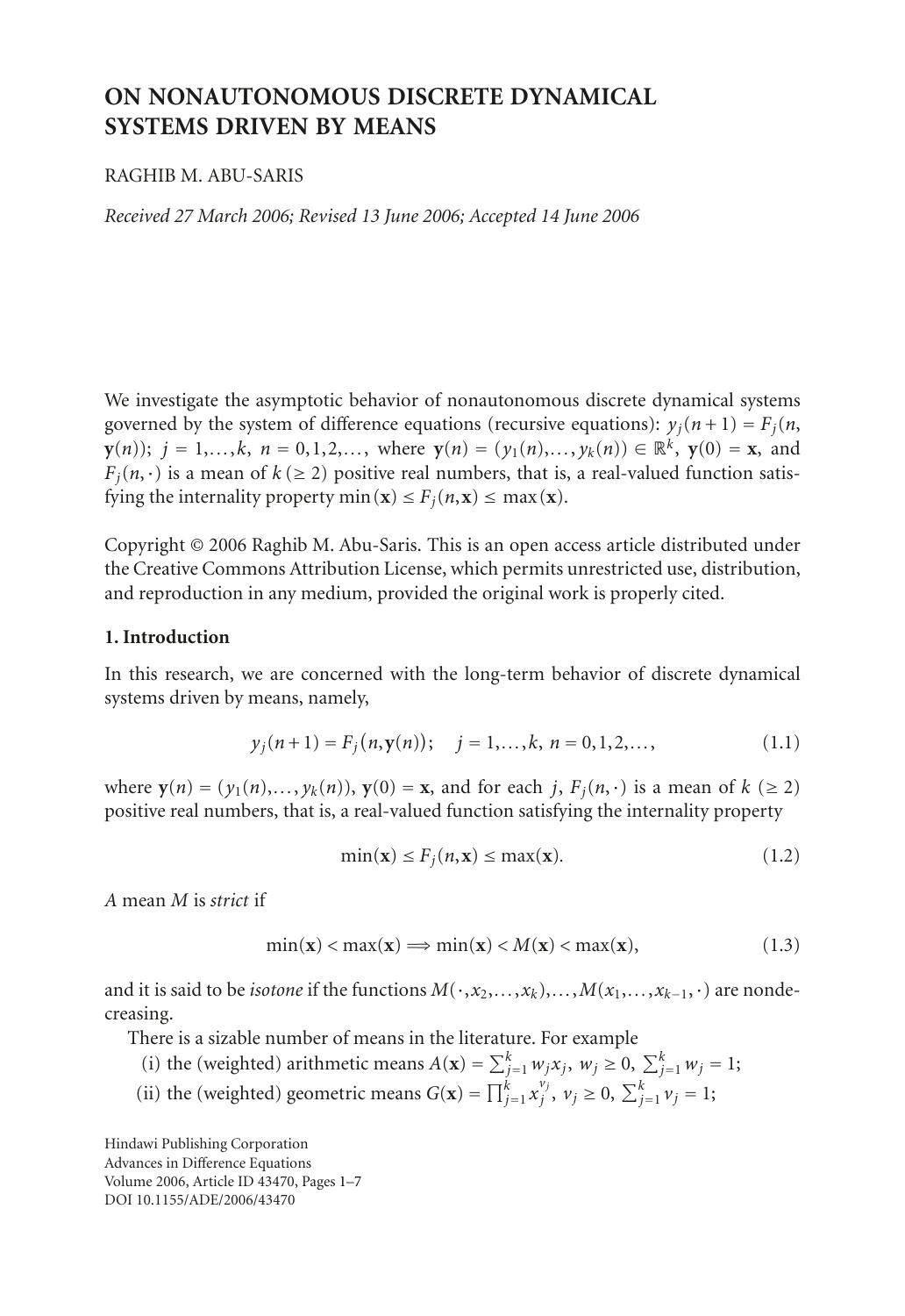# **ON NONAUTONOMOUS DISCRETE DYNAMICAL SYSTEMS DRIVEN BY MEANS**

# RAGHIB M. ABU-SARIS

*Received 27 March 2006; Revised 13 June 2006; Accepted 14 June 2006*

We investigate the asymptotic behavior of nonautonomous discrete dynamical systems governed by the system of difference equations (recursive equations):  $y_i(n+1) = F_i(n)$ , **y**(*n*)); *j* = 1,*...*,*k*, *n* = 0,1,2,*...*, where **y**(*n*) = (*y*<sub>1</sub>(*n*),*...*, *y<sub>k</sub>*(*n*)) ∈ ℝ<sup>*k*</sup>, **y**(0) = **x**, and  $F_i(n, \cdot)$  is a mean of  $k \geq 2$ ) positive real numbers, that is, a real-valued function satisfying the internality property  $\min(\mathbf{x}) \leq F_i(n, \mathbf{x}) \leq \max(\mathbf{x})$ .

Copyright © 2006 Raghib M. Abu-Saris. This is an open access article distributed under the Creative Commons Attribution License, which permits unrestricted use, distribution, and reproduction in any medium, provided the original work is properly cited.

## **1. Introduction**

In this research, we are concerned with the long-term behavior of discrete dynamical systems driven by means, namely,

$$
y_j(n+1) = F_j(n, \mathbf{y}(n)); \quad j = 1, ..., k, n = 0, 1, 2, ...
$$
 (1.1)

where  $\mathbf{y}(n) = (y_1(n), \ldots, y_k(n)), \mathbf{y}(0) = \mathbf{x}$ , and for each *j*,  $F_i(n, \cdot)$  is a mean of  $k \geq 2$ ) positive real numbers, that is, a real-valued function satisfying the internality property

<span id="page-0-0"></span>
$$
\min(\mathbf{x}) \le F_j(n, \mathbf{x}) \le \max(\mathbf{x}).\tag{1.2}
$$

*A* mean *M* is *strict* if

$$
\min(\mathbf{x}) < \max(\mathbf{x}) \Longrightarrow \min(\mathbf{x}) < M(\mathbf{x}) < \max(\mathbf{x}),\tag{1.3}
$$

and it is said to be *isotone* if the functions  $M(\cdot, x_2, \ldots, x_k), \ldots, M(x_1, \ldots, x_{k-1}, \cdot)$  are nondecreasing.

There is a sizable number of means in the literature. For example

- (i) the (weighted) arithmetic means  $A(\mathbf{x}) = \sum_{j=1}^{k} w_j x_j$ ,  $w_j \ge 0$ ,  $\sum_{j=1}^{k} w_j = 1$ ;
- (ii) the (weighted) geometric means  $G(\mathbf{x}) = \prod_{j=1}^{k} x_j^{v_j}, v_j \ge 0, \sum_{j=1}^{k} v_j = 1;$

Hindawi Publishing Corporation Advances in Difference Equations Volume 2006, Article ID 43470, Pages 1[–7](#page-5-0) DOI 10.1155/ADE/2006/43470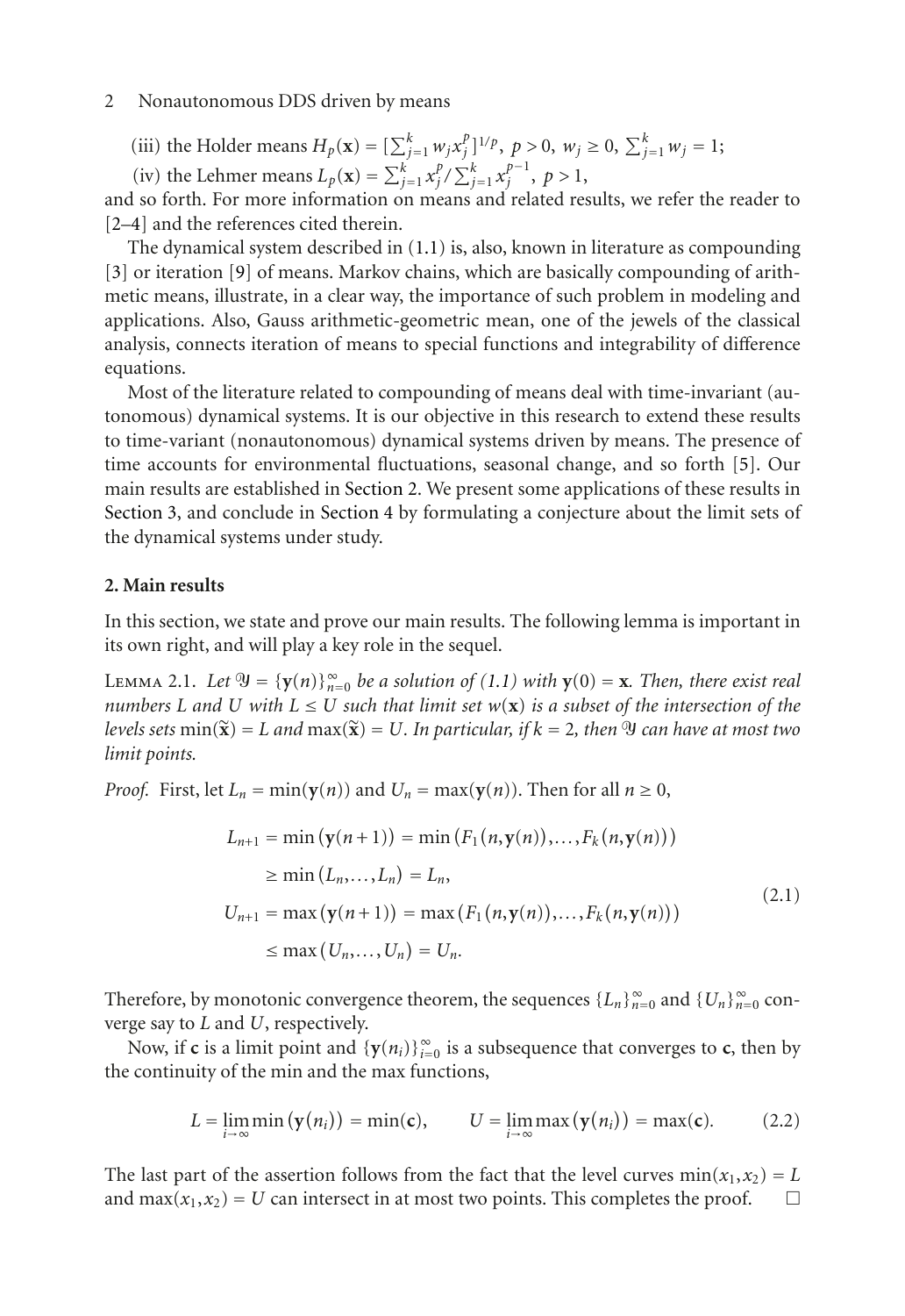### 2 Nonautonomous DDS driven by means

(iii) the Holder means  $H_p(\mathbf{x}) = [\sum_{j=1}^k w_j x_j^p]^{1/p}$ ,  $p > 0$ ,  $w_j \ge 0$ ,  $\sum_{j=1}^k w_j = 1$ ;

(iv) the Lehmer means  $L_p(\mathbf{x}) = \sum_{j=1}^{k} x_j^p / \sum_{j=1}^{k} x_j^{p-1}, p > 1$ ,

and so forth. For more information on means and related results, we refer the reader to [\[2](#page-5-1)[–4\]](#page-6-0) and the references cited therein.

The dynamical system described in [\(1.1\)](#page-0-0) is, also, known in literature as compounding [\[3\]](#page-6-1) or iteration [\[9\]](#page-6-2) of means. Markov chains, which are basically compounding of arithmetic means, illustrate, in a clear way, the importance of such problem in modeling and applications. Also, Gauss arithmetic-geometric mean, one of the jewels of the classical analysis, connects iteration of means to special functions and integrability of difference equations.

Most of the literature related to compounding of means deal with time-invariant (autonomous) dynamical systems. It is our objective in this research to extend these results to time-variant (nonautonomous) dynamical systems driven by means. The presence of time accounts for environmental fluctuations, seasonal change, and so forth [\[5](#page-6-3)]. Our main results are established in [Section 2.](#page-1-0) We present some applications of these results in [Section 3,](#page-3-0) and conclude in [Section 4](#page-5-2) by formulating a conjecture about the limit sets of the dynamical systems under study.

# <span id="page-1-0"></span>**2. Main results**

<span id="page-1-1"></span>In this section, we state and prove our main results. The following lemma is important in its own right, and will play a key role in the sequel.

 $\text{Lemma 2.1. Let } \mathfrak{Y} = \{ \mathbf{y}(n) \}_{n=0}^{\infty} \text{ be a solution of (1.1) with } \mathbf{y}(0) = \mathbf{x}$  $\text{Lemma 2.1. Let } \mathfrak{Y} = \{ \mathbf{y}(n) \}_{n=0}^{\infty} \text{ be a solution of (1.1) with } \mathbf{y}(0) = \mathbf{x}$  $\text{Lemma 2.1. Let } \mathfrak{Y} = \{ \mathbf{y}(n) \}_{n=0}^{\infty} \text{ be a solution of (1.1) with } \mathbf{y}(0) = \mathbf{x}$ . Then, there exist real *numbers L* and *U* with  $L \leq U$  *such that limit set*  $w(\mathbf{x})$  *is a subset of the intersection of the*  $\hat{P}(k) = E_{\text{max}}(k) = E_{\text{max}}(k) = E_{\text{max}}(k) = E_{\text{max}}(k) = E_{\text{max}}(k) = E_{\text{max}}(k) = E_{\text{max}}(k)$  an have at most two *limit points.*

*Proof.* First, let  $L_n = \min(\mathbf{y}(n))$  and  $U_n = \max(\mathbf{y}(n))$ . Then for all  $n \ge 0$ ,

$$
L_{n+1} = \min (\mathbf{y}(n+1)) = \min (F_1(n, \mathbf{y}(n)), \dots, F_k(n, \mathbf{y}(n)))
$$
  
\n
$$
\geq \min (L_n, \dots, L_n) = L_n,
$$
  
\n
$$
U_{n+1} = \max (\mathbf{y}(n+1)) = \max (F_1(n, \mathbf{y}(n)), \dots, F_k(n, \mathbf{y}(n)))
$$
  
\n
$$
\leq \max (U_n, \dots, U_n) = U_n.
$$
\n(2.1)

Therefore, by monotonic convergence theorem, the sequences  ${L_n}_{n=0}^{\infty}$  and  ${U_n}_{n=0}^{\infty}$  converge say to *L* and *U*, respectively.

Now, if **c** is a limit point and  ${\bf \{y}(n_i)\}_{i=0}^{\infty}$  is a subsequence that converges to **c**, then by the continuity of the min and the max functions,

$$
L = \lim_{i \to \infty} \min(\mathbf{y}(n_i)) = \min(\mathbf{c}), \qquad U = \lim_{i \to \infty} \max(\mathbf{y}(n_i)) = \max(\mathbf{c}). \tag{2.2}
$$

The last part of the assertion follows from the fact that the level curves  $min(x_1, x_2) = L$ and max $(x_1, x_2) = U$  can intersect in at most two points. This completes the proof.  $\Box$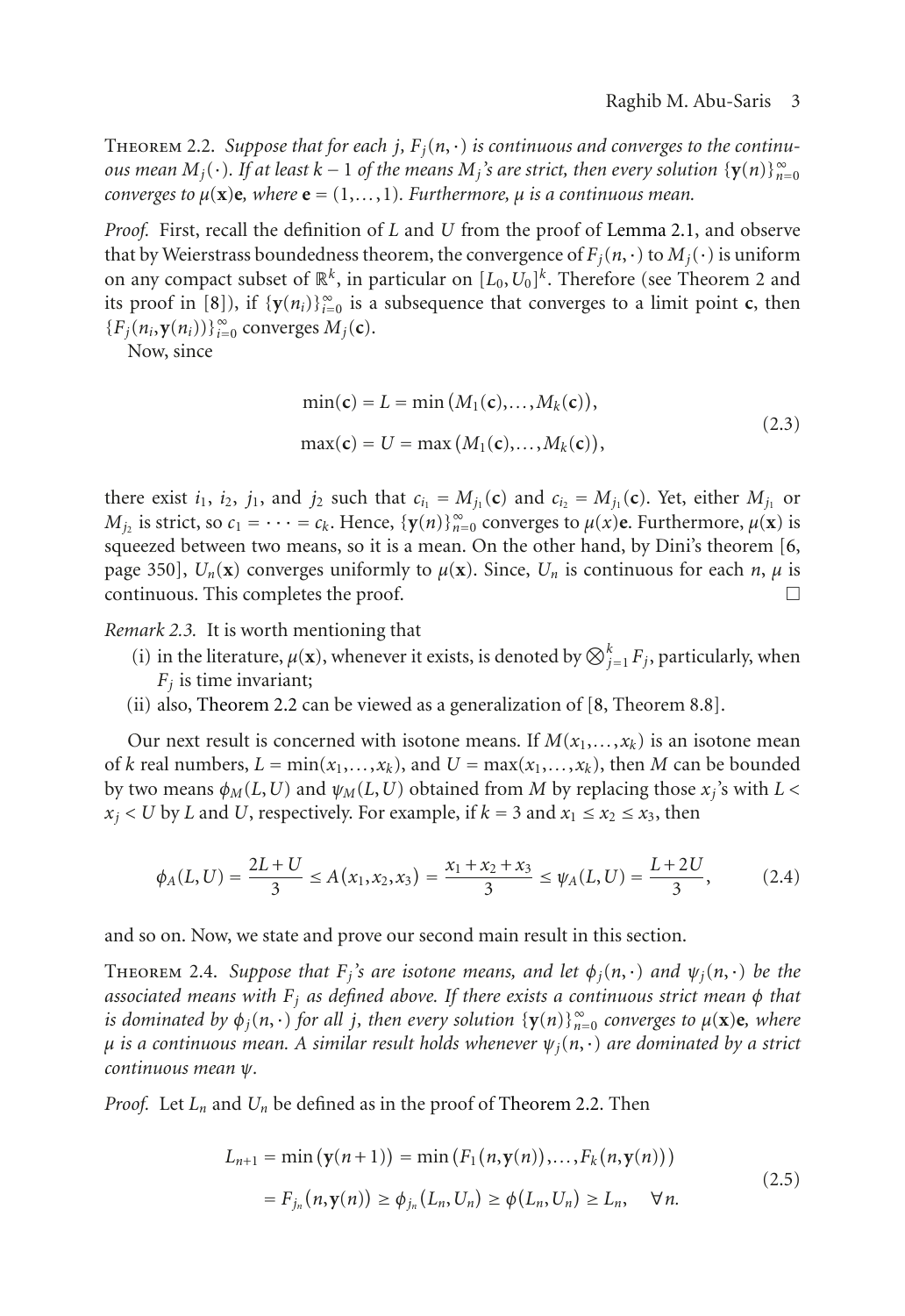<span id="page-2-0"></span>THEOREM 2.2. Suppose that for each  $j$ ,  $F_i(n, \cdot)$  is continuous and converges to the continu*ous mean*  $M_j(\cdot)$ *. If at least*  $k-1$  *of the means*  $M_j$ *'s are strict, then every solution*  $\{\mathbf{y}(n)\}_{n=0}^{\infty}$ *converges to*  $\mu(\mathbf{x})\mathbf{e}$ *, where*  $\mathbf{e} = (1, \ldots, 1)$ *. Furthermore,*  $\mu$  *is a continuous mean.* 

*Proof.* First, recall the definition of *L* and *U* from the proof of [Lemma 2.1,](#page-1-1) and observe that by Weierstrass boundedness theorem, the convergence of  $F_i(n, \cdot)$  to  $M_i(\cdot)$  is uniform on any compact subset of  $\mathbb{R}^k$ , in particular on  $[L_0, U_0]^k$ . Therefore (see Theorem 2 and its proof in [\[8\]](#page-6-4)), if  ${\bf y}(n_i)$ <sub>i=0</sub> is a subsequence that converges to a limit point **c**, then  ${F_j(n_i, y(n_i))}$ <sub> $i=0$ </sub> converges  $M_j(c)$ .

Now, since

$$
\min(\mathbf{c}) = L = \min(M_1(\mathbf{c}), \dots, M_k(\mathbf{c})),
$$
  
\n
$$
\max(\mathbf{c}) = U = \max(M_1(\mathbf{c}), \dots, M_k(\mathbf{c})),
$$
\n(2.3)

there exist  $i_1$ ,  $i_2$ ,  $j_1$ , and  $j_2$  such that  $c_{i_1} = M_{j_1}(\mathbf{c})$  and  $c_{i_2} = M_{j_1}(\mathbf{c})$ . Yet, either  $M_{j_1}$  or *M*<sub>j2</sub> is strict, so  $c_1 = \cdots = c_k$ . Hence,  $\{y(n)\}_{n=0}^{\infty}$  converges to  $\mu(x)$ **e.** Furthermore,  $\mu(x)$  is squeezed between two means, so it is a mean. On the other hand, by Dini's theorem [\[6,](#page-6-5) page 350],  $U_n(\mathbf{x})$  converges uniformly to  $\mu(\mathbf{x})$ . Since,  $U_n$  is continuous for each *n*,  $\mu$  is  $\Box$  continuous. This completes the proof.  $\Box$ 

*Remark 2.3.* It is worth mentioning that

- (i) in the literature,  $\mu(\mathbf{x})$ , whenever it exists, is denoted by  $\bigotimes_{j=1}^{k} F_j$ , particularly, when  $F_i$  is time invariant;
- (ii) also, [Theorem 2.2](#page-2-0) can be viewed as a generalization of [\[8](#page-6-4), Theorem 8.8].

Our next result is concerned with isotone means. If  $M(x_1,...,x_k)$  is an isotone mean of *k* real numbers,  $L = min(x_1, ..., x_k)$ , and  $U = max(x_1, ..., x_k)$ , then *M* can be bounded by two means  $\phi_M(L, U)$  and  $\psi_M(L, U)$  obtained from *M* by replacing those  $x_i$ 's with  $L <$  $x_i$  < *U* by *L* and *U*, respectively. For example, if  $k = 3$  and  $x_1 \le x_2 \le x_3$ , then

$$
\phi_A(L, U) = \frac{2L + U}{3} \le A(x_1, x_2, x_3) = \frac{x_1 + x_2 + x_3}{3} \le \psi_A(L, U) = \frac{L + 2U}{3},
$$
\n(2.4)

<span id="page-2-1"></span>and so on. Now, we state and prove our second main result in this section.

**THEOREM** 2.4. *Suppose that*  $F_j$ *'s are isotone means, and let*  $\phi_j(n, \cdot)$  *and*  $\psi_j(n, \cdot)$  *be the associated means with Fj as defined above. If there exists a continuous strict mean φ that is dominated by*  $\phi_j(n, \cdot)$  *for all j, then every solution*  $\{y(n)\}_{n=0}^{\infty}$  *converges to*  $\mu(\mathbf{x})\mathbf{e}$ *, where <sup>μ</sup> is a continuous mean. A similar result holds whenever ψj*(*n*,·) *are dominated by a strict continuous mean ψ.*

*Proof.* Let  $L_n$  and  $U_n$  be defined as in the proof of [Theorem 2.2.](#page-2-0) Then

$$
L_{n+1} = \min (\mathbf{y}(n+1)) = \min (F_1(n, \mathbf{y}(n)), \dots, F_k(n, \mathbf{y}(n)))
$$
  
=  $F_{j_n}(n, \mathbf{y}(n)) \ge \phi_{j_n}(L_n, U_n) \ge \phi(L_n, U_n) \ge L_n, \quad \forall n.$  (2.5)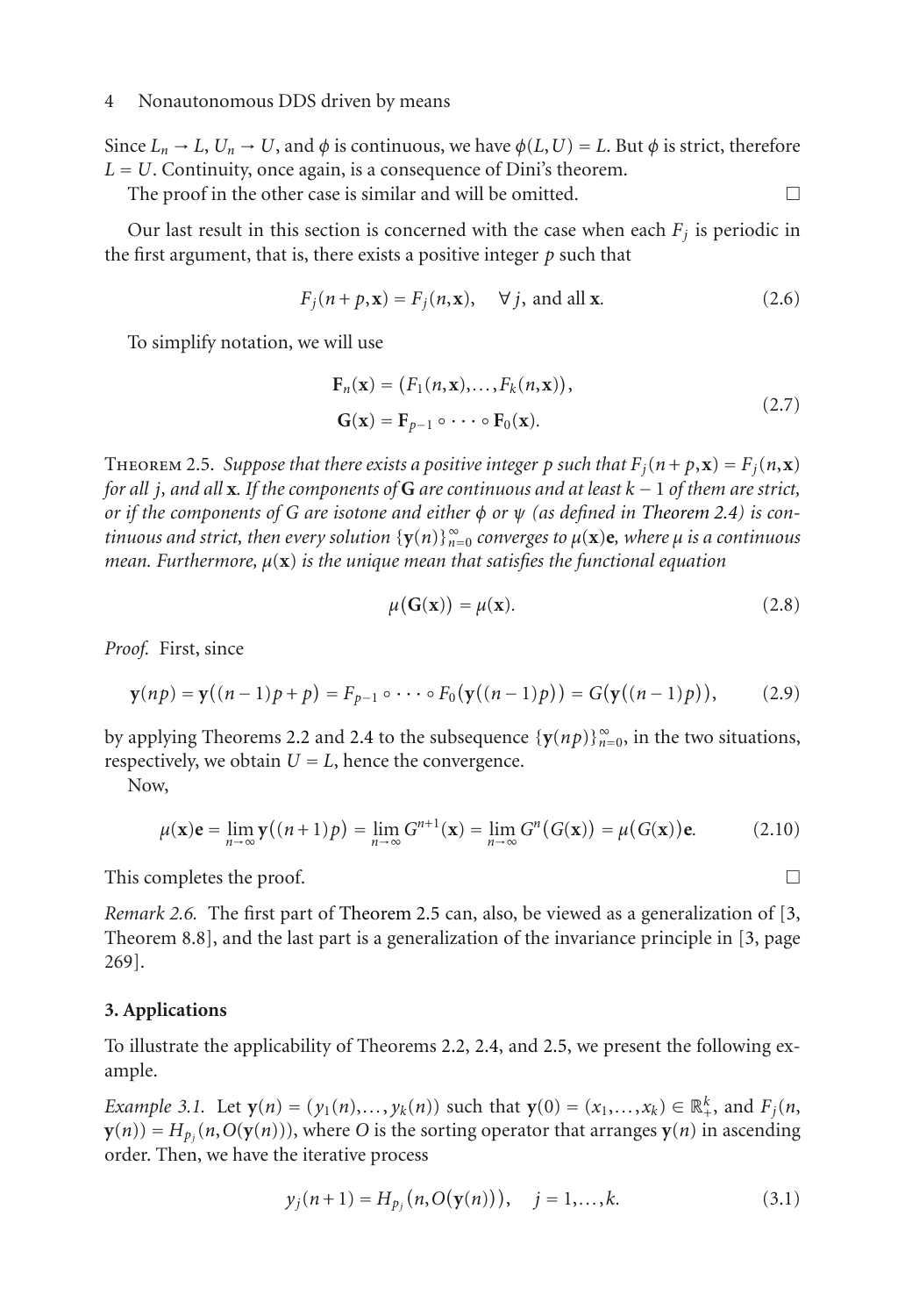#### 4 Nonautonomous DDS driven by means

Since  $L_n \to L$ ,  $U_n \to U$ , and  $\phi$  is continuous, we have  $\phi(L, U) = L$ . But  $\phi$  is strict, therefore *<sup>L</sup>* <sup>=</sup> *<sup>U</sup>*. Continuity, once again, is a consequence of Dini's theorem.

The proof in the other case is similar and will be omitted.  $\Box$ 

Our last result in this section is concerned with the case when each  $F_i$  is periodic in the first argument, that is, there exists a positive integer *p* such that

 $F_i(n + p, \mathbf{x}) = F_i(n, \mathbf{x}), \quad \forall j, \text{ and all } \mathbf{x}.$  (2.6)

To simplify notation, we will use

$$
\mathbf{F}_n(\mathbf{x}) = (F_1(n, \mathbf{x}), \dots, F_k(n, \mathbf{x})),
$$
  
\n
$$
\mathbf{G}(\mathbf{x}) = \mathbf{F}_{p-1} \circ \cdots \circ \mathbf{F}_0(\mathbf{x}).
$$
\n(2.7)

<span id="page-3-1"></span>THEOREM 2.5. *Suppose that there exists a positive integer p such that*  $F_j(n+p, \mathbf{x}) = F_j(n, \mathbf{x})$ *for all <sup>j</sup>, and all* **<sup>x</sup>***. If the components of* **<sup>G</sup>** *are continuous and at least <sup>k</sup>* <sup>−</sup> <sup>1</sup> *of them are strict, or if the components of G are isotone and either φ or ψ (as defined in [Theorem 2.4\)](#page-2-1) is continuous and strict, then every solution* {**y**(*n*)}<sup>∞</sup> *<sup>n</sup>*=<sup>0</sup> *converges to <sup>μ</sup>*(**x**)**e***, where <sup>μ</sup> is a continuous mean. Furthermore, μ*(**x**) *is the unique mean that satisfies the functional equation*

$$
\mu(\mathbf{G}(\mathbf{x})) = \mu(\mathbf{x}).\tag{2.8}
$$

*Proof.* First, since

$$
\mathbf{y}(np) = \mathbf{y}((n-1)p + p) = F_{p-1} \circ \cdots \circ F_0(\mathbf{y}((n-1)p)) = G(\mathbf{y}((n-1)p)), \quad (2.9)
$$

by applying Theorems [2.2](#page-2-0) and [2.4](#page-2-1) to the subsequence  $\{\mathbf{y}(np)\}_{n=0}^{\infty}$ , in the two situations, respectively, we obtain  $U = L$ , hence the convergence.

Now,

$$
\mu(\mathbf{x})\mathbf{e} = \lim_{n \to \infty} \mathbf{y}((n+1)p) = \lim_{n \to \infty} G^{n+1}(\mathbf{x}) = \lim_{n \to \infty} G^n(G(\mathbf{x})) = \mu(G(\mathbf{x}))\mathbf{e}.
$$
 (2.10)

This completes the proof.  $\Box$ 

*Remark 2.6.* The first part of [Theorem 2.5](#page-3-1) can, also, be viewed as a generalization of [\[3,](#page-6-1) Theorem 8.8], and the last part is a generalization of the invariance principle in [\[3](#page-6-1), page 269].

## <span id="page-3-0"></span>**3. Applications**

To illustrate the applicability of Theorems [2.2,](#page-2-0) [2.4,](#page-2-1) and [2.5,](#page-3-1) we present the following example.

*Example 3.1.* Let  $y(n) = (y_1(n),..., y_k(n))$  such that  $y(0) = (x_1,..., x_k) \in \mathbb{R}^k_+$ , and  $F_j(n,$ **) =**  $H_{p_i}(n, O(**y**(n)))$ **, where** *O* **is the sorting operator that arranges**  $**y**(n)$  **in ascending** order. Then, we have the iterative process

$$
y_j(n+1) = H_{p_j}(n, O(\mathbf{y}(n))), \quad j = 1,...,k.
$$
 (3.1)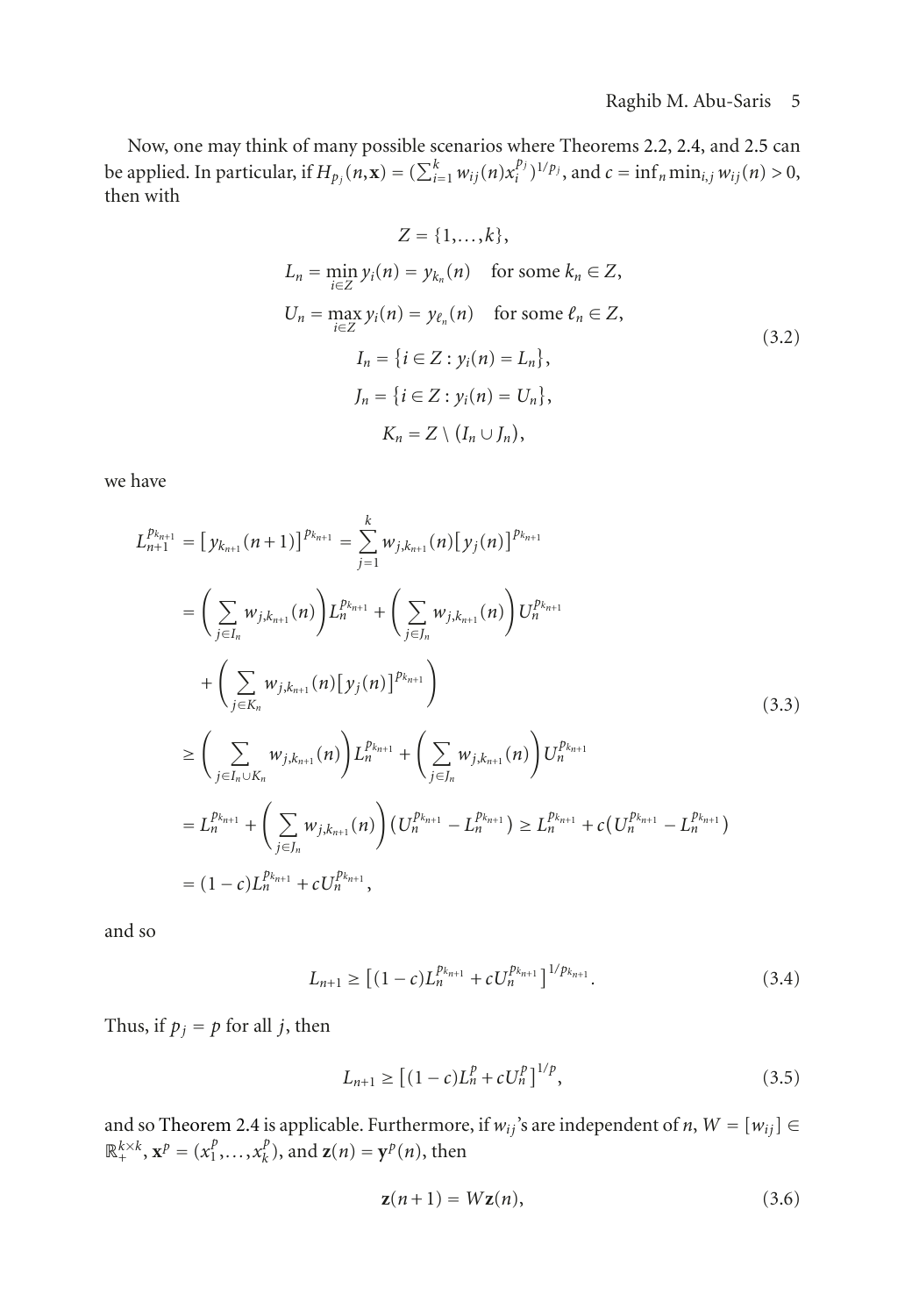Now, one may think of many possible scenarios where Theorems [2.2,](#page-2-0) [2.4,](#page-2-1) and [2.5](#page-3-1) can be applied. In particular, if  $H_{p_j}(n, \mathbf{x}) = (\sum_{i=1}^k w_{ij}(n) x_i^{p_j})^{1/p_j}$ , and  $c = \inf_n \min_{i,j} w_{ij}(n) > 0$ , then with

$$
Z = \{1, \dots, k\},
$$
  
\n
$$
L_n = \min_{i \in \mathbb{Z}} y_i(n) = y_{k_n}(n) \quad \text{for some } k_n \in \mathbb{Z},
$$
  
\n
$$
U_n = \max_{i \in \mathbb{Z}} y_i(n) = y_{\ell_n}(n) \quad \text{for some } \ell_n \in \mathbb{Z},
$$
  
\n
$$
I_n = \{i \in \mathbb{Z} : y_i(n) = L_n\},
$$
  
\n
$$
J_n = \{i \in \mathbb{Z} : y_i(n) = U_n\},
$$
  
\n
$$
K_n = Z \setminus (I_n \cup J_n),
$$
  
\n(3.2)

we have

$$
L_{n+1}^{p_{k_{n+1}}} = [y_{k_{n+1}}(n+1)]^{p_{k_{n+1}}} = \sum_{j=1}^{k} w_{j,k_{n+1}}(n) [y_j(n)]^{p_{k_{n+1}}}
$$
  
\n
$$
= \left(\sum_{j\in I_n} w_{j,k_{n+1}}(n)\right) L_n^{p_{k_{n+1}}} + \left(\sum_{j\in J_n} w_{j,k_{n+1}}(n)\right) U_n^{p_{k_{n+1}}}
$$
  
\n
$$
+ \left(\sum_{j\in K_n} w_{j,k_{n+1}}(n) [y_j(n)]^{p_{k_{n+1}}}\right)
$$
  
\n
$$
\geq \left(\sum_{j\in I_n \cup K_n} w_{j,k_{n+1}}(n)\right) L_n^{p_{k_{n+1}}} + \left(\sum_{j\in J_n} w_{j,k_{n+1}}(n)\right) U_n^{p_{k_{n+1}}}
$$
  
\n
$$
= L_n^{p_{k_{n+1}}} + \left(\sum_{j\in J_n} w_{j,k_{n+1}}(n)\right) (U_n^{p_{k_{n+1}}} - L_n^{p_{k_{n+1}}}) \geq L_n^{p_{k_{n+1}}} + c(U_n^{p_{k_{n+1}}} - L_n^{p_{k_{n+1}}})
$$
  
\n
$$
= (1-c)L_n^{p_{k_{n+1}}} + cU_n^{p_{k_{n+1}}},
$$
  
\n(3.3)

and so

$$
L_{n+1} \ge \left[ (1-c)L_n^{p_{k_{n+1}}} + cU_n^{p_{k_{n+1}}} \right]^{1/p_{k_{n+1}}}.
$$
\n(3.4)

Thus, if  $p_j = p$  for all *j*, then

$$
L_{n+1} \ge \left[ (1 - c)L_n^p + cU_n^p \right]^{1/p},\tag{3.5}
$$

and so [Theorem 2.4](#page-2-1) is applicable. Furthermore, if  $w_{ij}$ 's are independent of *n*,  $W = [w_{ij}] \in$  $\mathbb{R}^{k \times k}_+$ ,  $\mathbf{x}^p = (x_1^p, \dots, x_k^p)$ , and  $\mathbf{z}(n) = \mathbf{y}^p(n)$ , then

$$
\mathbf{z}(n+1) = W\mathbf{z}(n),\tag{3.6}
$$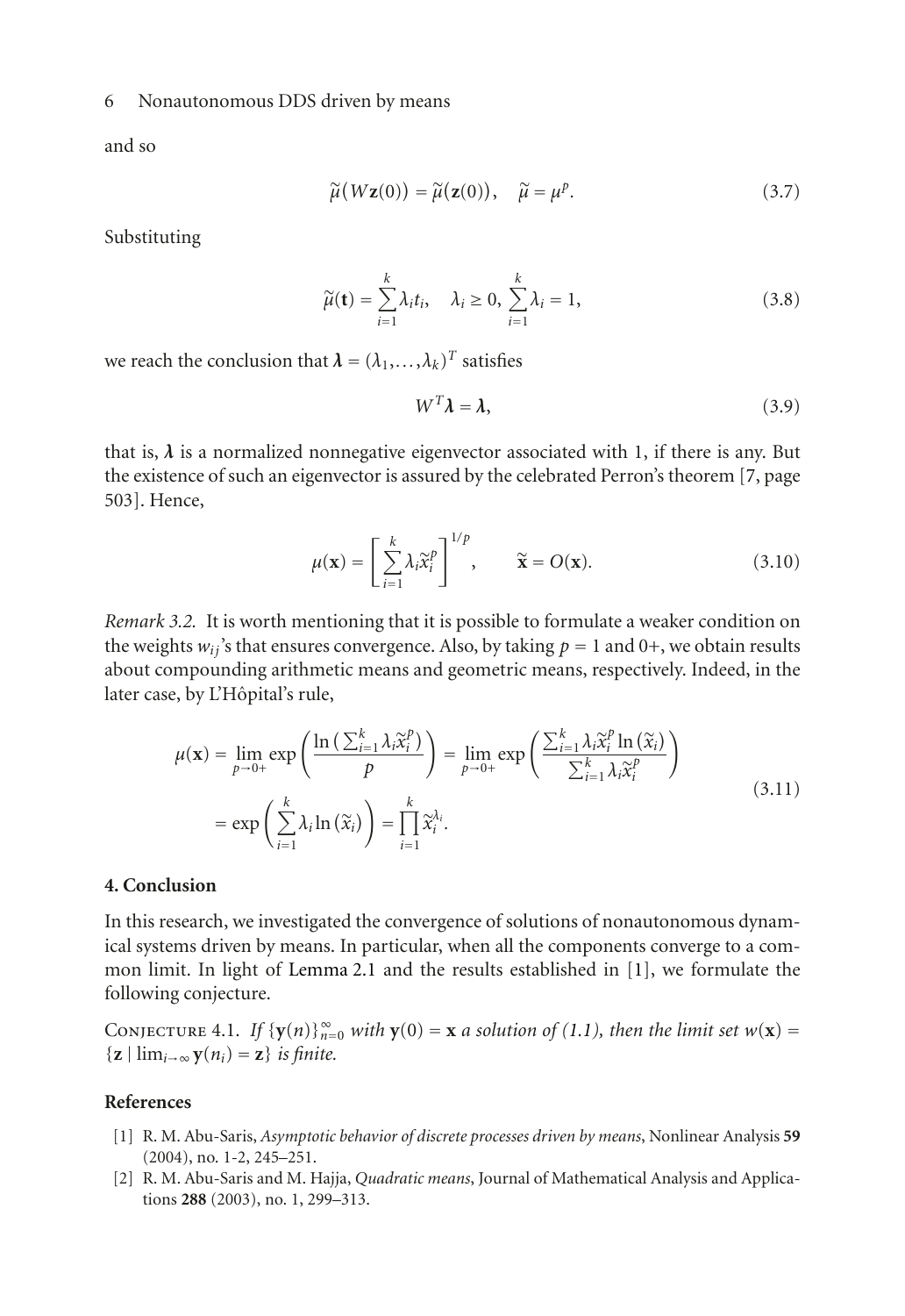#### 6 Nonautonomous DDS driven by means

and so

$$
\widetilde{\mu}(W\mathbf{z}(0)) = \widetilde{\mu}(\mathbf{z}(0)), \quad \widetilde{\mu} = \mu^p. \tag{3.7}
$$

Substituting

$$
\widetilde{\mu}(\mathbf{t}) = \sum_{i=1}^{k} \lambda_i t_i, \quad \lambda_i \ge 0, \ \sum_{i=1}^{k} \lambda_i = 1,
$$
\n(3.8)

we reach the conclusion that  $\lambda = (\lambda_1, \dots, \lambda_k)^T$  satisfies

$$
W^T \lambda = \lambda, \tag{3.9}
$$

that is,  $\lambda$  is a normalized nonnegative eigenvector associated with 1, if there is any. But the existence of such an eigenvector is assured by the celebrated Perron's theorem [\[7,](#page-6-6) page 503]. Hence,

$$
\mu(\mathbf{x}) = \left[\sum_{i=1}^{k} \lambda_i \widetilde{\mathbf{x}}_i^p\right]^{1/p}, \qquad \widetilde{\mathbf{x}} = O(\mathbf{x}).
$$
\n(3.10)

*Remark 3.2.* It is worth mentioning that it is possible to formulate a weaker condition on the weights  $w_{ij}$ 's that ensures convergence. Also, by taking  $p = 1$  and  $0+$ , we obtain results about compounding arithmetic means and geometric means, respectively. Indeed, in the later case, by L'Hôpital's rule,

$$
\mu(\mathbf{x}) = \lim_{p \to 0+} \exp\left(\frac{\ln\left(\sum_{i=1}^k \lambda_i \widetilde{x}_i^p\right)}{p}\right) = \lim_{p \to 0+} \exp\left(\frac{\sum_{i=1}^k \lambda_i \widetilde{x}_i^p \ln\left(\widetilde{x}_i\right)}{\sum_{i=1}^k \lambda_i \widetilde{x}_i^p}\right)
$$
\n
$$
= \exp\left(\sum_{i=1}^k \lambda_i \ln\left(\widetilde{x}_i\right)\right) = \prod_{i=1}^k \widetilde{x}_i^{\lambda_i}.\tag{3.11}
$$

## <span id="page-5-2"></span>**4. Conclusion**

In this research, we investigated the convergence of solutions of nonautonomous dynamical systems driven by means. In particular, when all the components converge to a common limit. In light of [Lemma 2.1](#page-1-1) and the results established in [\[1\]](#page-5-3), we formulate the following conjecture.

CONJECTURE 4.1. *If*  $\{y(n)\}_{n=0}^{\infty}$  *with*  $y(0) = x$  *a solution of* [\(1.1\)](#page-0-0)*, then the limit set*  $w(x) =$  $\{z \mid \lim_{i \to \infty} y(n_i) = z\}$  *is finite.* 

## <span id="page-5-3"></span><span id="page-5-0"></span>**References**

- [1] R. M. Abu-Saris, *Asymptotic behavior of discrete processes driven by means*, Nonlinear Analysis **59** (2004), no. 1-2, 245–251.
- <span id="page-5-1"></span>[2] R. M. Abu-Saris and M. Hajja, *Quadratic means*, Journal of Mathematical Analysis and Applications **288** (2003), no. 1, 299–313.